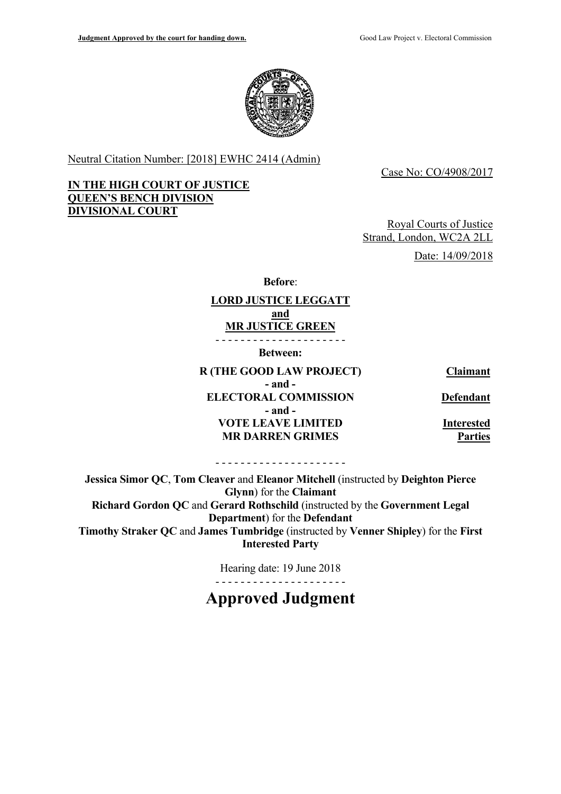**IN THE HIGH COURT OF JUSTICE** 

**QUEEN'S BENCH DIVISION** 

**DIVISIONAL COURT** 



Neutral Citation Number: [2018] EWHC 2414 (Admin)

Case No: CO/4908/2017

# Royal Courts of Justice Strand, London, WC2A 2LL Date: 14/09/2018

**Before**:

#### **LORD JUSTICE LEGGATT and MR JUSTICE GREEN**

- - - - - - - - - - - - - - - - - - - - -

**Between:** 

**R (THE GOOD LAW PROJECT) Claimant - and - ELECTORAL COMMISSION Defendant - and - VOTE LEAVE LIMITED linterested MR DARREN GRIMES** Parties

- - - - - - - - - - - - - - - - - - - - -

**Jessica Simor QC**, **Tom Cleaver** and **Eleanor Mitchell** (instructed by **Deighton Pierce Glynn**) for the **Claimant Richard Gordon QC** and **Gerard Rothschild** (instructed by the **Government Legal Department**) for the **Defendant Timothy Straker QC** and **James Tumbridge** (instructed by **Venner Shipley**) for the **First Interested Party**

> - - - - - - - - - - - - - - - - - - - - - Hearing date: 19 June 2018

# **Approved Judgment**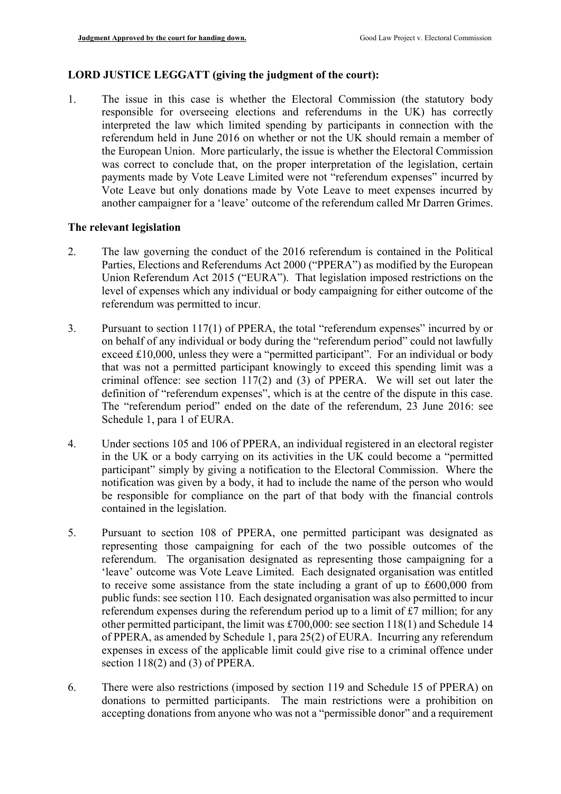# **LORD JUSTICE LEGGATT (giving the judgment of the court):**

 another campaigner for a 'leave' outcome of the referendum called Mr Darren Grimes. 1. The issue in this case is whether the Electoral Commission (the statutory body responsible for overseeing elections and referendums in the UK) has correctly interpreted the law which limited spending by participants in connection with the referendum held in June 2016 on whether or not the UK should remain a member of the European Union. More particularly, the issue is whether the Electoral Commission was correct to conclude that, on the proper interpretation of the legislation, certain payments made by Vote Leave Limited were not "referendum expenses" incurred by Vote Leave but only donations made by Vote Leave to meet expenses incurred by

# **The relevant legislation**

- 2. The law governing the conduct of the 2016 referendum is contained in the Political Parties, Elections and Referendums Act 2000 ("PPERA") as modified by the European Union Referendum Act 2015 ("EURA"). That legislation imposed restrictions on the level of expenses which any individual or body campaigning for either outcome of the referendum was permitted to incur.
- definition of "referendum expenses", which is at the centre of the dispute in this case. 3. Pursuant to section 117(1) of PPERA, the total "referendum expenses" incurred by or on behalf of any individual or body during the "referendum period" could not lawfully exceed £10,000, unless they were a "permitted participant". For an individual or body that was not a permitted participant knowingly to exceed this spending limit was a criminal offence: see section 117(2) and (3) of PPERA. We will set out later the The "referendum period" ended on the date of the referendum, 23 June 2016: see Schedule 1, para 1 of EURA.
- in the UK or a body carrying on its activities in the UK could become a "permitted 4. Under sections 105 and 106 of PPERA, an individual registered in an electoral register participant" simply by giving a notification to the Electoral Commission. Where the notification was given by a body, it had to include the name of the person who would be responsible for compliance on the part of that body with the financial controls contained in the legislation.
- public funds: see section 110. Each designated organisation was also permitted to incur referendum expenses during the referendum period up to a limit of £7 million; for any 5. Pursuant to section 108 of PPERA, one permitted participant was designated as representing those campaigning for each of the two possible outcomes of the referendum. The organisation designated as representing those campaigning for a 'leave' outcome was Vote Leave Limited. Each designated organisation was entitled to receive some assistance from the state including a grant of up to  $£600,000$  from other permitted participant, the limit was £700,000: see section 118(1) and Schedule 14 of PPERA, as amended by Schedule 1, para 25(2) of EURA. Incurring any referendum expenses in excess of the applicable limit could give rise to a criminal offence under section 118(2) and (3) of PPERA.
- 6. There were also restrictions (imposed by section 119 and Schedule 15 of PPERA) on donations to permitted participants. The main restrictions were a prohibition on accepting donations from anyone who was not a "permissible donor" and a requirement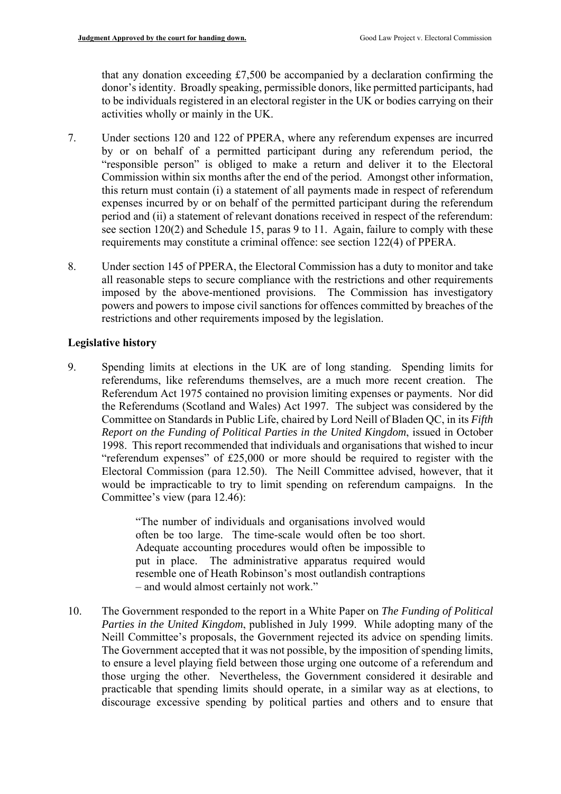that any donation exceeding £7,500 be accompanied by a declaration confirming the donor's identity. Broadly speaking, permissible donors, like permitted participants, had to be individuals registered in an electoral register in the UK or bodies carrying on their activities wholly or mainly in the UK.

- by or on behalf of a permitted participant during any referendum period, the see section 120(2) and Schedule 15, paras 9 to 11. Again, failure to comply with these 7. Under sections 120 and 122 of PPERA, where any referendum expenses are incurred "responsible person" is obliged to make a return and deliver it to the Electoral Commission within six months after the end of the period. Amongst other information, this return must contain (i) a statement of all payments made in respect of referendum expenses incurred by or on behalf of the permitted participant during the referendum period and (ii) a statement of relevant donations received in respect of the referendum: requirements may constitute a criminal offence: see section 122(4) of PPERA.
- 8. Under section 145 of PPERA, the Electoral Commission has a duty to monitor and take all reasonable steps to secure compliance with the restrictions and other requirements imposed by the above-mentioned provisions. The Commission has investigatory powers and powers to impose civil sanctions for offences committed by breaches of the restrictions and other requirements imposed by the legislation.

#### **Legislative history**

 Electoral Commission (para 12.50). The Neill Committee advised, however, that it 9. Spending limits at elections in the UK are of long standing. Spending limits for referendums, like referendums themselves, are a much more recent creation. The Referendum Act 1975 contained no provision limiting expenses or payments. Nor did the Referendums (Scotland and Wales) Act 1997. The subject was considered by the Committee on Standards in Public Life, chaired by Lord Neill of Bladen QC, in its *Fifth Report on the Funding of Political Parties in the United Kingdom*, issued in October 1998. This report recommended that individuals and organisations that wished to incur "referendum expenses" of £25,000 or more should be required to register with the would be impracticable to try to limit spending on referendum campaigns. In the Committee's view (para 12.46):

> "The number of individuals and organisations involved would often be too large. The time-scale would often be too short. Adequate accounting procedures would often be impossible to put in place. The administrative apparatus required would resemble one of Heath Robinson's most outlandish contraptions – and would almost certainly not work."

 to ensure a level playing field between those urging one outcome of a referendum and practicable that spending limits should operate, in a similar way as at elections, to 10. The Government responded to the report in a White Paper on *The Funding of Political Parties in the United Kingdom*, published in July 1999. While adopting many of the Neill Committee's proposals, the Government rejected its advice on spending limits. The Government accepted that it was not possible, by the imposition of spending limits, those urging the other. Nevertheless, the Government considered it desirable and discourage excessive spending by political parties and others and to ensure that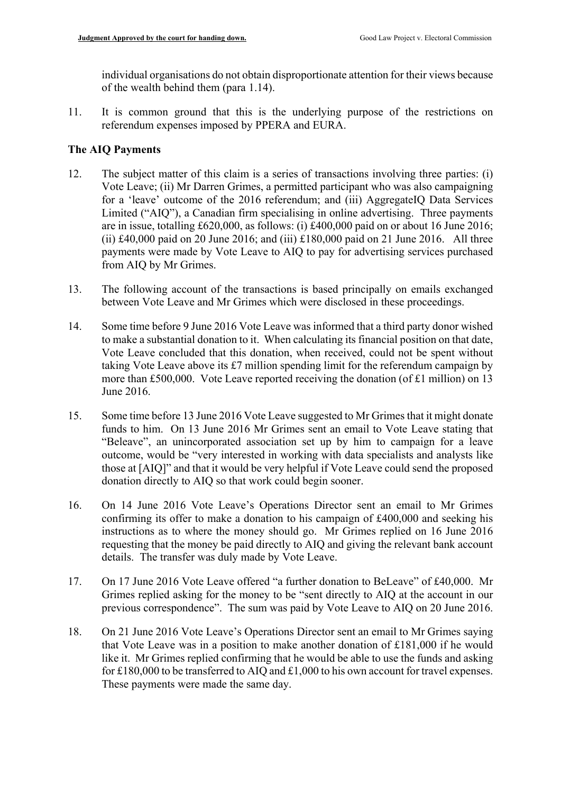individual organisations do not obtain disproportionate attention for their views because of the wealth behind them (para 1.14).

11. It is common ground that this is the underlying purpose of the restrictions on referendum expenses imposed by PPERA and EURA.

# **The AIQ Payments**

- 12. The subject matter of this claim is a series of transactions involving three parties: (i) Vote Leave; (ii) Mr Darren Grimes, a permitted participant who was also campaigning for a 'leave' outcome of the 2016 referendum; and (iii) AggregateIQ Data Services Limited ("AIQ"), a Canadian firm specialising in online advertising. Three payments are in issue, totalling £620,000, as follows: (i) £400,000 paid on or about 16 June 2016; (ii)  $\text{\pounds}40,000$  paid on 20 June 2016; and (iii)  $\text{\pounds}180,000$  paid on 21 June 2016. All three payments were made by Vote Leave to AIQ to pay for advertising services purchased from AIQ by Mr Grimes.
- 13. The following account of the transactions is based principally on emails exchanged between Vote Leave and Mr Grimes which were disclosed in these proceedings.
- 14. Some time before 9 June 2016 Vote Leave was informed that a third party donor wished more than £500,000. Vote Leave reported receiving the donation (of £1 million) on 13 to make a substantial donation to it. When calculating its financial position on that date, Vote Leave concluded that this donation, when received, could not be spent without taking Vote Leave above its  $£7$  million spending limit for the referendum campaign by June 2016.
- 15. Some time before 13 June 2016 Vote Leave suggested to Mr Grimes that it might donate funds to him. On 13 June 2016 Mr Grimes sent an email to Vote Leave stating that "Beleave", an unincorporated association set up by him to campaign for a leave outcome, would be "very interested in working with data specialists and analysts like those at [AIQ]" and that it would be very helpful if Vote Leave could send the proposed donation directly to AIQ so that work could begin sooner.
- 16. On 14 June 2016 Vote Leave's Operations Director sent an email to Mr Grimes confirming its offer to make a donation to his campaign of £400,000 and seeking his instructions as to where the money should go. Mr Grimes replied on 16 June 2016 requesting that the money be paid directly to AIQ and giving the relevant bank account details. The transfer was duly made by Vote Leave.
- 17. On 17 June 2016 Vote Leave offered "a further donation to BeLeave" of £40,000. Mr Grimes replied asking for the money to be "sent directly to AIQ at the account in our previous correspondence". The sum was paid by Vote Leave to AIQ on 20 June 2016.
- 18. On 21 June 2016 Vote Leave's Operations Director sent an email to Mr Grimes saying that Vote Leave was in a position to make another donation of £181,000 if he would like it. Mr Grimes replied confirming that he would be able to use the funds and asking for £180,000 to be transferred to AIQ and £1,000 to his own account for travel expenses. These payments were made the same day.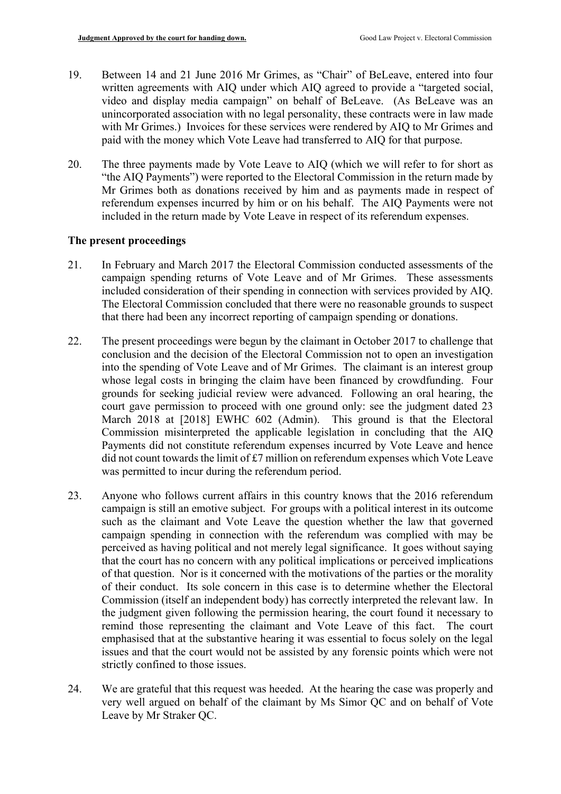- 19. Between 14 and 21 June 2016 Mr Grimes, as "Chair" of BeLeave, entered into four written agreements with AIQ under which AIQ agreed to provide a "targeted social, video and display media campaign" on behalf of BeLeave. (As BeLeave was an unincorporated association with no legal personality, these contracts were in law made with Mr Grimes.) Invoices for these services were rendered by AIQ to Mr Grimes and paid with the money which Vote Leave had transferred to AIQ for that purpose.
- 20. The three payments made by Vote Leave to AIQ (which we will refer to for short as "the AIQ Payments") were reported to the Electoral Commission in the return made by Mr Grimes both as donations received by him and as payments made in respect of referendum expenses incurred by him or on his behalf. The AIQ Payments were not included in the return made by Vote Leave in respect of its referendum expenses.

# **The present proceedings**

- 21. In February and March 2017 the Electoral Commission conducted assessments of the campaign spending returns of Vote Leave and of Mr Grimes. These assessments included consideration of their spending in connection with services provided by AIQ. The Electoral Commission concluded that there were no reasonable grounds to suspect that there had been any incorrect reporting of campaign spending or donations.
- into the spending of Vote Leave and of Mr Grimes. The claimant is an interest group Commission misinterpreted the applicable legislation in concluding that the AIQ 22. The present proceedings were begun by the claimant in October 2017 to challenge that conclusion and the decision of the Electoral Commission not to open an investigation whose legal costs in bringing the claim have been financed by crowdfunding. Four grounds for seeking judicial review were advanced. Following an oral hearing, the court gave permission to proceed with one ground only: see the judgment dated 23 March 2018 at [2018] EWHC 602 (Admin). This ground is that the Electoral Payments did not constitute referendum expenses incurred by Vote Leave and hence did not count towards the limit of £7 million on referendum expenses which Vote Leave was permitted to incur during the referendum period.
- campaign spending in connection with the referendum was complied with may be that the court has no concern with any political implications or perceived implications Commission (itself an independent body) has correctly interpreted the relevant law. In emphasised that at the substantive hearing it was essential to focus solely on the legal 23. Anyone who follows current affairs in this country knows that the 2016 referendum campaign is still an emotive subject. For groups with a political interest in its outcome such as the claimant and Vote Leave the question whether the law that governed perceived as having political and not merely legal significance. It goes without saying of that question. Nor is it concerned with the motivations of the parties or the morality of their conduct. Its sole concern in this case is to determine whether the Electoral the judgment given following the permission hearing, the court found it necessary to remind those representing the claimant and Vote Leave of this fact. The court issues and that the court would not be assisted by any forensic points which were not strictly confined to those issues.
- 24. We are grateful that this request was heeded. At the hearing the case was properly and very well argued on behalf of the claimant by Ms Simor QC and on behalf of Vote Leave by Mr Straker QC.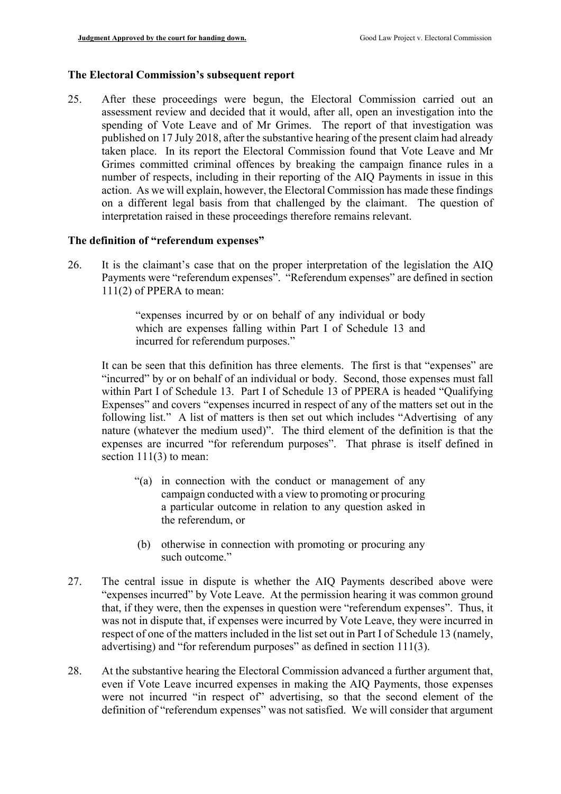#### **The Electoral Commission's subsequent report**

 taken place. In its report the Electoral Commission found that Vote Leave and Mr on a different legal basis from that challenged by the claimant. The question of 25. After these proceedings were begun, the Electoral Commission carried out an assessment review and decided that it would, after all, open an investigation into the spending of Vote Leave and of Mr Grimes. The report of that investigation was published on 17 July 2018, after the substantive hearing of the present claim had already Grimes committed criminal offences by breaking the campaign finance rules in a number of respects, including in their reporting of the AIQ Payments in issue in this action. As we will explain, however, the Electoral Commission has made these findings interpretation raised in these proceedings therefore remains relevant.

# **The definition of "referendum expenses"**

 Payments were "referendum expenses". "Referendum expenses" are defined in section 26. It is the claimant's case that on the proper interpretation of the legislation the AIQ 111(2) of PPERA to mean:

> "expenses incurred by or on behalf of any individual or body which are expenses falling within Part I of Schedule 13 and incurred for referendum purposes."

 following list." A list of matters is then set out which includes "Advertising of any nature (whatever the medium used)". The third element of the definition is that the expenses are incurred "for referendum purposes". That phrase is itself defined in It can be seen that this definition has three elements. The first is that "expenses" are "incurred" by or on behalf of an individual or body. Second, those expenses must fall within Part I of Schedule 13. Part I of Schedule 13 of PPERA is headed "Qualifying Expenses" and covers "expenses incurred in respect of any of the matters set out in the section  $11(3)$  to mean:

- "(a) in connection with the conduct or management of any campaign conducted with a view to promoting or procuring a particular outcome in relation to any question asked in the referendum, or
- (b) otherwise in connection with promoting or procuring any such outcome."
- 27. The central issue in dispute is whether the AIQ Payments described above were "expenses incurred" by Vote Leave. At the permission hearing it was common ground that, if they were, then the expenses in question were "referendum expenses". Thus, it was not in dispute that, if expenses were incurred by Vote Leave, they were incurred in respect of one of the matters included in the list set out in Part I of Schedule 13 (namely, advertising) and "for referendum purposes" as defined in section 111(3).
- 28. At the substantive hearing the Electoral Commission advanced a further argument that, even if Vote Leave incurred expenses in making the AIQ Payments, those expenses were not incurred "in respect of" advertising, so that the second element of the definition of "referendum expenses" was not satisfied. We will consider that argument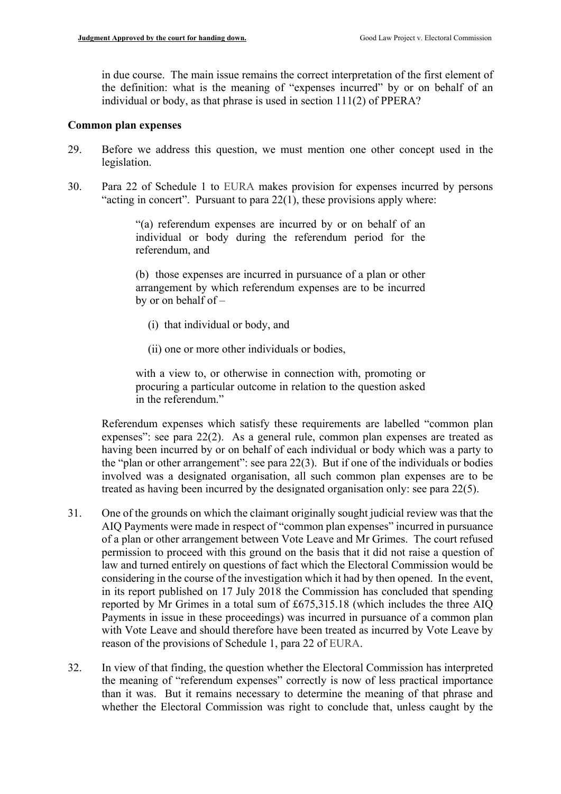in due course. The main issue remains the correct interpretation of the first element of the definition: what is the meaning of "expenses incurred" by or on behalf of an individual or body, as that phrase is used in section 111(2) of PPERA?

#### **Common plan expenses**

- 29. Before we address this question, we must mention one other concept used in the legislation.
- 30. Para 22 of Schedule 1 to EURA makes provision for expenses incurred by persons "acting in concert". Pursuant to para  $22(1)$ , these provisions apply where:

"(a) referendum expenses are incurred by or on behalf of an individual or body during the referendum period for the referendum, and

(b) those expenses are incurred in pursuance of a plan or other arrangement by which referendum expenses are to be incurred by or on behalf of –

- (i) that individual or body, and
- (ii) one or more other individuals or bodies,

with a view to, or otherwise in connection with, promoting or procuring a particular outcome in relation to the question asked in the referendum"

 having been incurred by or on behalf of each individual or body which was a party to Referendum expenses which satisfy these requirements are labelled "common plan expenses": see para 22(2). As a general rule, common plan expenses are treated as the "plan or other arrangement": see para 22(3). But if one of the individuals or bodies involved was a designated organisation, all such common plan expenses are to be treated as having been incurred by the designated organisation only: see para 22(5).

- permission to proceed with this ground on the basis that it did not raise a question of Payments in issue in these proceedings) was incurred in pursuance of a common plan with Vote Leave and should therefore have been treated as incurred by Vote Leave by 31. One of the grounds on which the claimant originally sought judicial review was that the AIQ Payments were made in respect of "common plan expenses" incurred in pursuance of a plan or other arrangement between Vote Leave and Mr Grimes. The court refused law and turned entirely on questions of fact which the Electoral Commission would be considering in the course of the investigation which it had by then opened. In the event, in its report published on 17 July 2018 the Commission has concluded that spending reported by Mr Grimes in a total sum of £675,315.18 (which includes the three AIQ reason of the provisions of Schedule 1, para 22 of EURA.
- than it was. But it remains necessary to determine the meaning of that phrase and 32. In view of that finding, the question whether the Electoral Commission has interpreted the meaning of "referendum expenses" correctly is now of less practical importance whether the Electoral Commission was right to conclude that, unless caught by the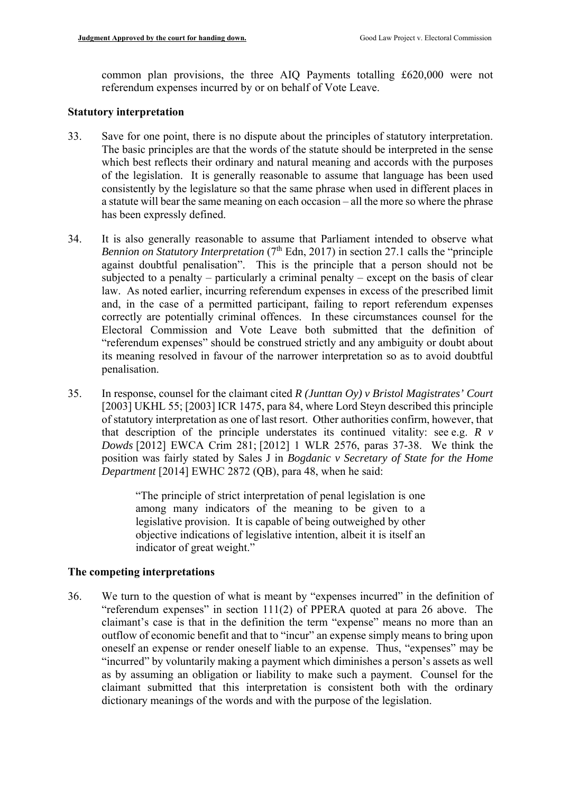common plan provisions, the three AIQ Payments totalling £620,000 were not referendum expenses incurred by or on behalf of Vote Leave.

#### **Statutory interpretation**

- The basic principles are that the words of the statute should be interpreted in the sense 33. Save for one point, there is no dispute about the principles of statutory interpretation. which best reflects their ordinary and natural meaning and accords with the purposes of the legislation. It is generally reasonable to assume that language has been used consistently by the legislature so that the same phrase when used in different places in a statute will bear the same meaning on each occasion – all the more so where the phrase has been expressly defined.
- subjected to a penalty particularly a criminal penalty except on the basis of clear law. As noted earlier, incurring referendum expenses in excess of the prescribed limit correctly are potentially criminal offences. In these circumstances counsel for the Electoral Commission and Vote Leave both submitted that the definition of 34. It is also generally reasonable to assume that Parliament intended to observe what *Bennion on Statutory Interpretation* ( $7<sup>th</sup>$  Edn, 2017) in section 27.1 calls the "principle" against doubtful penalisation". This is the principle that a person should not be and, in the case of a permitted participant, failing to report referendum expenses "referendum expenses" should be construed strictly and any ambiguity or doubt about its meaning resolved in favour of the narrower interpretation so as to avoid doubtful penalisation.
- of statutory interpretation as one of last resort. Other authorities confirm, however, that 35. In response, counsel for the claimant cited *R (Junttan Oy) v Bristol Magistrates' Court*  [2003] UKHL 55; [2003] ICR 1475, para 84, where Lord Steyn described this principle that description of the principle understates its continued vitality: see e.g. *R v Dowds* [2012] EWCA Crim 281; [2012] 1 WLR 2576, paras 37-38. We think the position was fairly stated by Sales J in *Bogdanic v Secretary of State for the Home Department* [2014] EWHC 2872 (QB), para 48, when he said:

 "The principle of strict interpretation of penal legislation is one among many indicators of the meaning to be given to a legislative provision. It is capable of being outweighed by other objective indications of legislative intention, albeit it is itself an indicator of great weight."

#### **The competing interpretations**

 "referendum expenses" in section 111(2) of PPERA quoted at para 26 above. The claimant submitted that this interpretation is consistent both with the ordinary 36. We turn to the question of what is meant by "expenses incurred" in the definition of claimant's case is that in the definition the term "expense" means no more than an outflow of economic benefit and that to "incur" an expense simply means to bring upon oneself an expense or render oneself liable to an expense. Thus, "expenses" may be "incurred" by voluntarily making a payment which diminishes a person's assets as well as by assuming an obligation or liability to make such a payment. Counsel for the dictionary meanings of the words and with the purpose of the legislation.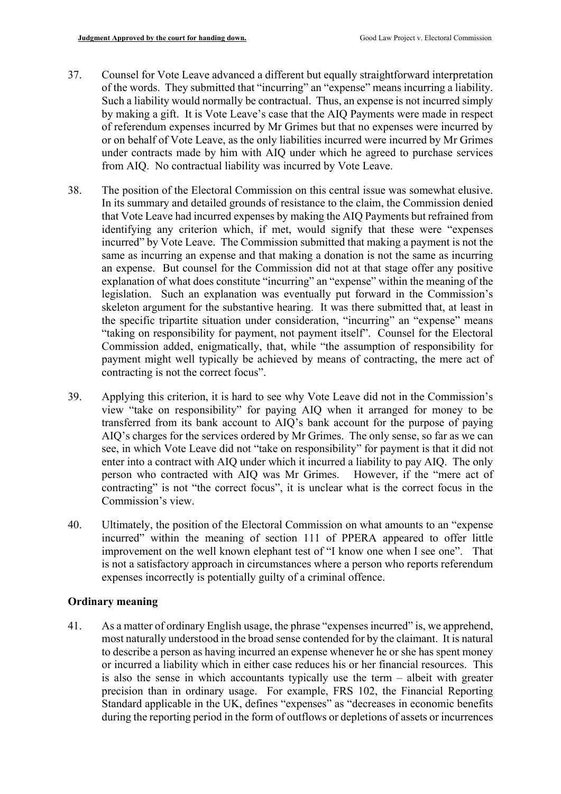- or on behalf of Vote Leave, as the only liabilities incurred were incurred by Mr Grimes from AIQ. No contractual liability was incurred by Vote Leave. 37. Counsel for Vote Leave advanced a different but equally straightforward interpretation of the words. They submitted that "incurring" an "expense" means incurring a liability. Such a liability would normally be contractual. Thus, an expense is not incurred simply by making a gift. It is Vote Leave's case that the AIQ Payments were made in respect of referendum expenses incurred by Mr Grimes but that no expenses were incurred by under contracts made by him with AIQ under which he agreed to purchase services
- from AIQ. No contractual liability was incurred by Vote Leave.<br>38. The position of the Electoral Commission on this central issue was somewhat elusive. explanation of what does constitute "incurring" an "expense" within the meaning of the legislation. Such an explanation was eventually put forward in the Commission's In its summary and detailed grounds of resistance to the claim, the Commission denied that Vote Leave had incurred expenses by making the AIQ Payments but refrained from identifying any criterion which, if met, would signify that these were "expenses incurred" by Vote Leave. The Commission submitted that making a payment is not the same as incurring an expense and that making a donation is not the same as incurring an expense. But counsel for the Commission did not at that stage offer any positive skeleton argument for the substantive hearing. It was there submitted that, at least in the specific tripartite situation under consideration, "incurring" an "expense" means "taking on responsibility for payment, not payment itself". Counsel for the Electoral Commission added, enigmatically, that, while "the assumption of responsibility for payment might well typically be achieved by means of contracting, the mere act of contracting is not the correct focus".
- enter into a contract with AIQ under which it incurred a liability to pay AIQ. The only person who contracted with AIQ was Mr Grimes. However, if the "mere act of 39. Applying this criterion, it is hard to see why Vote Leave did not in the Commission's view "take on responsibility" for paying AIQ when it arranged for money to be transferred from its bank account to AIQ's bank account for the purpose of paying AIQ's charges for the services ordered by Mr Grimes. The only sense, so far as we can see, in which Vote Leave did not "take on responsibility" for payment is that it did not contracting" is not "the correct focus", it is unclear what is the correct focus in the Commission's view.
- 40. Ultimately, the position of the Electoral Commission on what amounts to an "expense incurred" within the meaning of section 111 of PPERA appeared to offer little improvement on the well known elephant test of "I know one when I see one". That is not a satisfactory approach in circumstances where a person who reports referendum expenses incorrectly is potentially guilty of a criminal offence.

#### **Ordinary meaning**

 most naturally understood in the broad sense contended for by the claimant. It is natural to describe a person as having incurred an expense whenever he or she has spent money or incurred a liability which in either case reduces his or her financial resources. This is also the sense in which accountants typically use the term – albeit with greater 41. As a matter of ordinary English usage, the phrase "expenses incurred" is, we apprehend, precision than in ordinary usage. For example, FRS 102, the Financial Reporting Standard applicable in the UK, defines "expenses" as "decreases in economic benefits during the reporting period in the form of outflows or depletions of assets or incurrences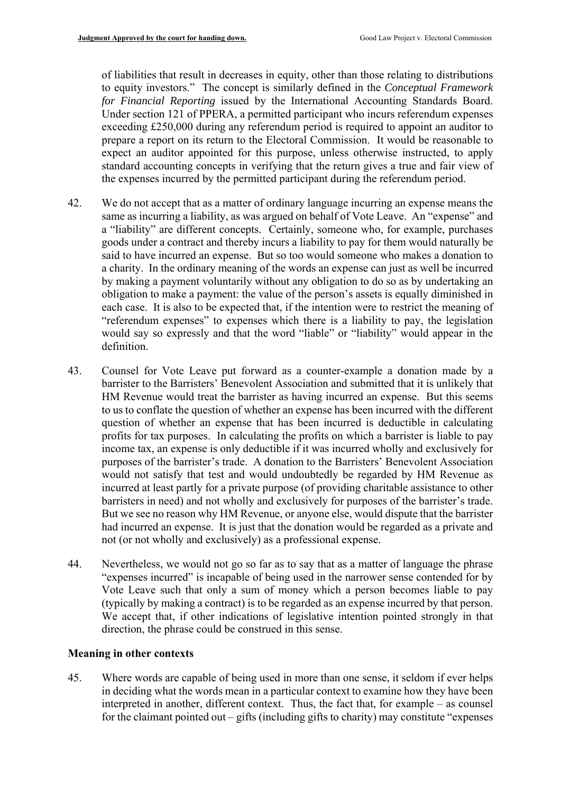of liabilities that result in decreases in equity, other than those relating to distributions to equity investors." The concept is similarly defined in the *Conceptual Framework*  standard accounting concepts in verifying that the return gives a true and fair view of *for Financial Reporting* issued by the International Accounting Standards Board. Under section 121 of PPERA, a permitted participant who incurs referendum expenses exceeding £250,000 during any referendum period is required to appoint an auditor to prepare a report on its return to the Electoral Commission. It would be reasonable to expect an auditor appointed for this purpose, unless otherwise instructed, to apply the expenses incurred by the permitted participant during the referendum period.

- "referendum expenses" to expenses which there is a liability to pay, the legislation 42. We do not accept that as a matter of ordinary language incurring an expense means the same as incurring a liability, as was argued on behalf of Vote Leave. An "expense" and a "liability" are different concepts. Certainly, someone who, for example, purchases goods under a contract and thereby incurs a liability to pay for them would naturally be said to have incurred an expense. But so too would someone who makes a donation to a charity. In the ordinary meaning of the words an expense can just as well be incurred by making a payment voluntarily without any obligation to do so as by undertaking an obligation to make a payment: the value of the person's assets is equally diminished in each case. It is also to be expected that, if the intention were to restrict the meaning of would say so expressly and that the word "liable" or "liability" would appear in the definition.
- question of whether an expense that has been incurred is deductible in calculating profits for tax purposes. In calculating the profits on which a barrister is liable to pay incurred at least partly for a private purpose (of providing charitable assistance to other barristers in need) and not wholly and exclusively for purposes of the barrister's trade. barristers in need) and not wholly and exclusively for purposes of the barrister's trade.<br>But we see no reason why HM Revenue, or anyone else, would dispute that the barrister 43. Counsel for Vote Leave put forward as a counter-example a donation made by a barrister to the Barristers' Benevolent Association and submitted that it is unlikely that HM Revenue would treat the barrister as having incurred an expense. But this seems to us to conflate the question of whether an expense has been incurred with the different income tax, an expense is only deductible if it was incurred wholly and exclusively for purposes of the barrister's trade. A donation to the Barristers' Benevolent Association would not satisfy that test and would undoubtedly be regarded by HM Revenue as had incurred an expense. It is just that the donation would be regarded as a private and not (or not wholly and exclusively) as a professional expense.
- "expenses incurred" is incapable of being used in the narrower sense contended for by Vote Leave such that only a sum of money which a person becomes liable to pay 44. Nevertheless, we would not go so far as to say that as a matter of language the phrase (typically by making a contract) is to be regarded as an expense incurred by that person. We accept that, if other indications of legislative intention pointed strongly in that direction, the phrase could be construed in this sense.

#### **Meaning in other contexts**

45. Where words are capable of being used in more than one sense, it seldom if ever helps in deciding what the words mean in a particular context to examine how they have been interpreted in another, different context. Thus, the fact that, for example – as counsel for the claimant pointed out – gifts (including gifts to charity) may constitute "expenses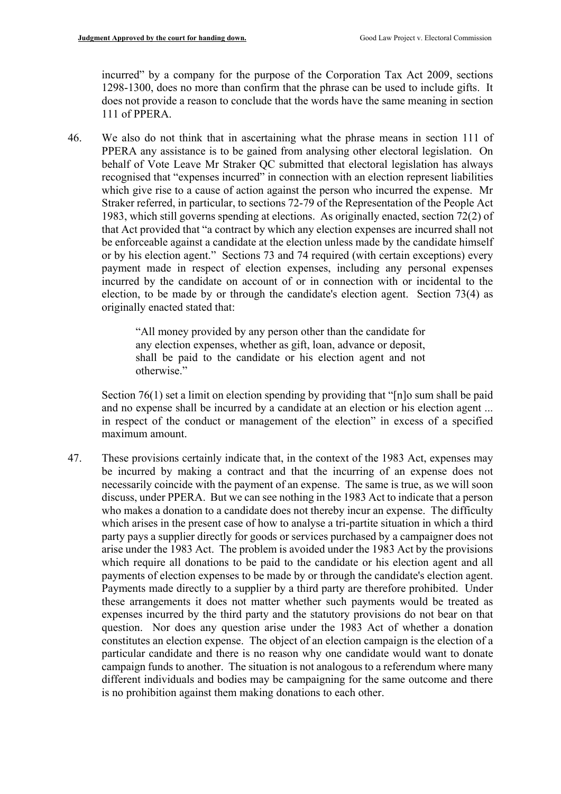incurred" by a company for the purpose of the Corporation Tax Act 2009, sections 1298-1300, does no more than confirm that the phrase can be used to include gifts. It does not provide a reason to conclude that the words have the same meaning in section 111 of PPERA.

 PPERA any assistance is to be gained from analysing other electoral legislation. On behalf of Vote Leave Mr Straker QC submitted that electoral legislation has always which give rise to a cause of action against the person who incurred the expense. Mr incurred by the candidate on account of or in connection with or incidental to the 46. We also do not think that in ascertaining what the phrase means in section 111 of recognised that "expenses incurred" in connection with an election represent liabilities Straker referred, in particular, to sections 72-79 of the Representation of the People Act 1983, which still governs spending at elections. As originally enacted, section 72(2) of that Act provided that "a contract by which any election expenses are incurred shall not be enforceable against a candidate at the election unless made by the candidate himself or by his election agent." Sections 73 and 74 required (with certain exceptions) every payment made in respect of election expenses, including any personal expenses election, to be made by or through the candidate's election agent. Section 73(4) as originally enacted stated that:

> "All money provided by any person other than the candidate for any election expenses, whether as gift, loan, advance or deposit, shall be paid to the candidate or his election agent and not otherwise."

 and no expense shall be incurred by a candidate at an election or his election agent ... in respect of the conduct or management of the election" in excess of a specified Section 76(1) set a limit on election spending by providing that "[n]o sum shall be paid maximum amount.

 which arises in the present case of how to analyse a tri-partite situation in which a third campaign funds to another. The situation is not analogous to a referendum where many 47. These provisions certainly indicate that, in the context of the 1983 Act, expenses may be incurred by making a contract and that the incurring of an expense does not necessarily coincide with the payment of an expense. The same is true, as we will soon discuss, under PPERA. But we can see nothing in the 1983 Act to indicate that a person who makes a donation to a candidate does not thereby incur an expense. The difficulty party pays a supplier directly for goods or services purchased by a campaigner does not arise under the 1983 Act. The problem is avoided under the 1983 Act by the provisions which require all donations to be paid to the candidate or his election agent and all payments of election expenses to be made by or through the candidate's election agent. Payments made directly to a supplier by a third party are therefore prohibited. Under these arrangements it does not matter whether such payments would be treated as expenses incurred by the third party and the statutory provisions do not bear on that question. Nor does any question arise under the 1983 Act of whether a donation constitutes an election expense. The object of an election campaign is the election of a particular candidate and there is no reason why one candidate would want to donate different individuals and bodies may be campaigning for the same outcome and there is no prohibition against them making donations to each other.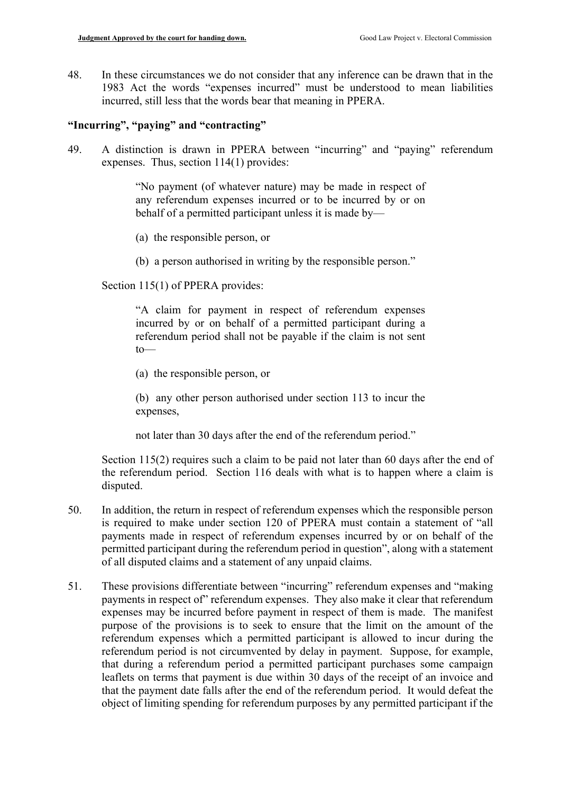48. In these circumstances we do not consider that any inference can be drawn that in the 1983 Act the words "expenses incurred" must be understood to mean liabilities incurred, still less that the words bear that meaning in PPERA.

#### **"Incurring", "paying" and "contracting"**

49. A distinction is drawn in PPERA between "incurring" and "paying" referendum expenses. Thus, section 114(1) provides:

> "No payment (of whatever nature) may be made in respect of any referendum expenses incurred or to be incurred by or on behalf of a permitted participant unless it is made by—

- (a) the responsible person, or
- (b) a person authorised in writing by the responsible person."

Section 115(1) of PPERA provides:

 incurred by or on behalf of a permitted participant during a "A claim for payment in respect of referendum expenses referendum period shall not be payable if the claim is not sent  $to$ —

(a) the responsible person, or

(b) any other person authorised under section 113 to incur the expenses,

not later than 30 days after the end of the referendum period."

 the referendum period. Section 116 deals with what is to happen where a claim is Section 115(2) requires such a claim to be paid not later than 60 days after the end of disputed.

- 50. In addition, the return in respect of referendum expenses which the responsible person is required to make under section 120 of PPERA must contain a statement of "all payments made in respect of referendum expenses incurred by or on behalf of the permitted participant during the referendum period in question", along with a statement of all disputed claims and a statement of any unpaid claims.
- payments in respect of" referendum expenses. They also make it clear that referendum that the payment date falls after the end of the referendum period. It would defeat the object of limiting spending for referendum purposes by any permitted participant if the 51. These provisions differentiate between "incurring" referendum expenses and "making" expenses may be incurred before payment in respect of them is made. The manifest purpose of the provisions is to seek to ensure that the limit on the amount of the referendum expenses which a permitted participant is allowed to incur during the referendum period is not circumvented by delay in payment. Suppose, for example, that during a referendum period a permitted participant purchases some campaign leaflets on terms that payment is due within 30 days of the receipt of an invoice and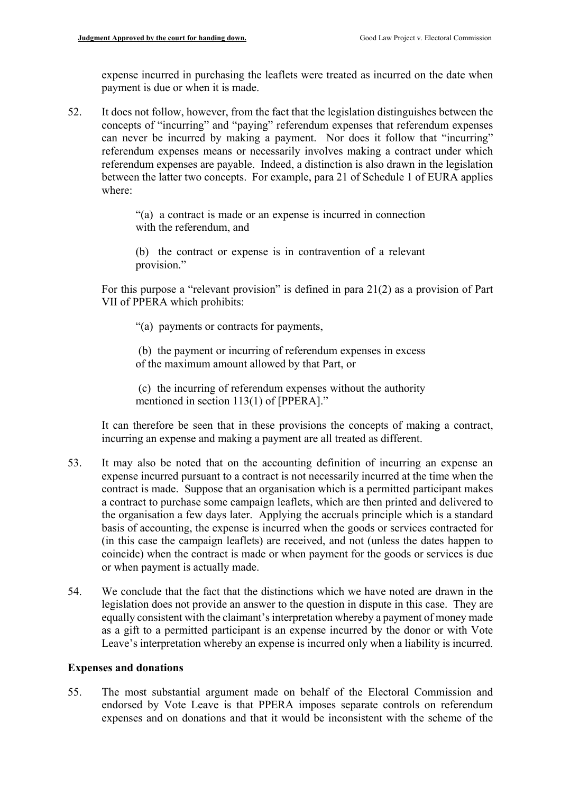expense incurred in purchasing the leaflets were treated as incurred on the date when payment is due or when it is made.

 can never be incurred by making a payment. Nor does it follow that "incurring" between the latter two concepts. For example, para 21 of Schedule 1 of EURA applies 52. It does not follow, however, from the fact that the legislation distinguishes between the concepts of "incurring" and "paying" referendum expenses that referendum expenses referendum expenses means or necessarily involves making a contract under which referendum expenses are payable. Indeed, a distinction is also drawn in the legislation where:

> "(a) a contract is made or an expense is incurred in connection with the referendum, and

> (b) the contract or expense is in contravention of a relevant provision."

 For this purpose a "relevant provision" is defined in para 21(2) as a provision of Part VII of PPERA which prohibits:

"(a) payments or contracts for payments,

(b) the payment or incurring of referendum expenses in excess of the maximum amount allowed by that Part, or

(c) the incurring of referendum expenses without the authority mentioned in section 113(1) of [PPERA]."

It can therefore be seen that in these provisions the concepts of making a contract, incurring an expense and making a payment are all treated as different.

- expense incurred pursuant to a contract is not necessarily incurred at the time when the 53. It may also be noted that on the accounting definition of incurring an expense an contract is made. Suppose that an organisation which is a permitted participant makes a contract to purchase some campaign leaflets, which are then printed and delivered to the organisation a few days later. Applying the accruals principle which is a standard basis of accounting, the expense is incurred when the goods or services contracted for (in this case the campaign leaflets) are received, and not (unless the dates happen to coincide) when the contract is made or when payment for the goods or services is due or when payment is actually made.
- 54. We conclude that the fact that the distinctions which we have noted are drawn in the equally consistent with the claimant's interpretation whereby a payment of money made as a gift to a permitted participant is an expense incurred by the donor or with Vote Leave's interpretation whereby an expense is incurred only when a liability is incurred. legislation does not provide an answer to the question in dispute in this case. They are

#### **Expenses and donations**

55. The most substantial argument made on behalf of the Electoral Commission and endorsed by Vote Leave is that PPERA imposes separate controls on referendum expenses and on donations and that it would be inconsistent with the scheme of the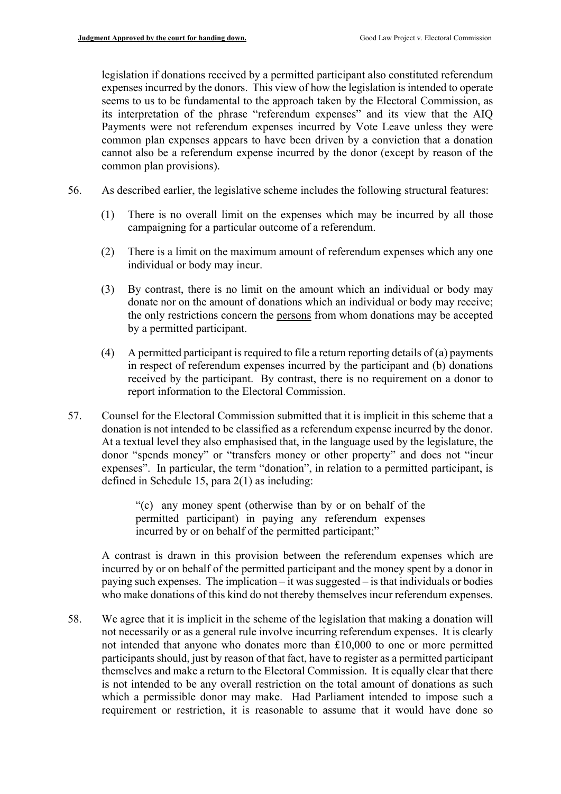its interpretation of the phrase "referendum expenses" and its view that the AIQ cannot also be a referendum expense incurred by the donor (except by reason of the legislation if donations received by a permitted participant also constituted referendum expenses incurred by the donors. This view of how the legislation is intended to operate seems to us to be fundamental to the approach taken by the Electoral Commission, as Payments were not referendum expenses incurred by Vote Leave unless they were common plan expenses appears to have been driven by a conviction that a donation common plan provisions).

- 56. As described earlier, the legislative scheme includes the following structural features:
	- (1) There is no overall limit on the expenses which may be incurred by all those campaigning for a particular outcome of a referendum.
	- (2) There is a limit on the maximum amount of referendum expenses which any one individual or body may incur.
	- the only restrictions concern the persons from whom donations may be accepted (3) By contrast, there is no limit on the amount which an individual or body may donate nor on the amount of donations which an individual or body may receive; by a permitted participant.
	- (4) A permitted participant is required to file a return reporting details of (a) payments in respect of referendum expenses incurred by the participant and (b) donations received by the participant. By contrast, there is no requirement on a donor to report information to the Electoral Commission.
- 57. Counsel for the Electoral Commission submitted that it is implicit in this scheme that a donation is not intended to be classified as a referendum expense incurred by the donor. At a textual level they also emphasised that, in the language used by the legislature, the donor "spends money" or "transfers money or other property" and does not "incur expenses". In particular, the term "donation", in relation to a permitted participant, is defined in Schedule 15, para 2(1) as including:

"(c) any money spent (otherwise than by or on behalf of the permitted participant) in paying any referendum expenses incurred by or on behalf of the permitted participant;"

 A contrast is drawn in this provision between the referendum expenses which are incurred by or on behalf of the permitted participant and the money spent by a donor in paying such expenses. The implication – it was suggested – is that individuals or bodies who make donations of this kind do not thereby themselves incur referendum expenses.

 not necessarily or as a general rule involve incurring referendum expenses. It is clearly participants should, just by reason of that fact, have to register as a permitted participant 58. We agree that it is implicit in the scheme of the legislation that making a donation will not intended that anyone who donates more than £10,000 to one or more permitted themselves and make a return to the Electoral Commission. It is equally clear that there is not intended to be any overall restriction on the total amount of donations as such which a permissible donor may make. Had Parliament intended to impose such a requirement or restriction, it is reasonable to assume that it would have done so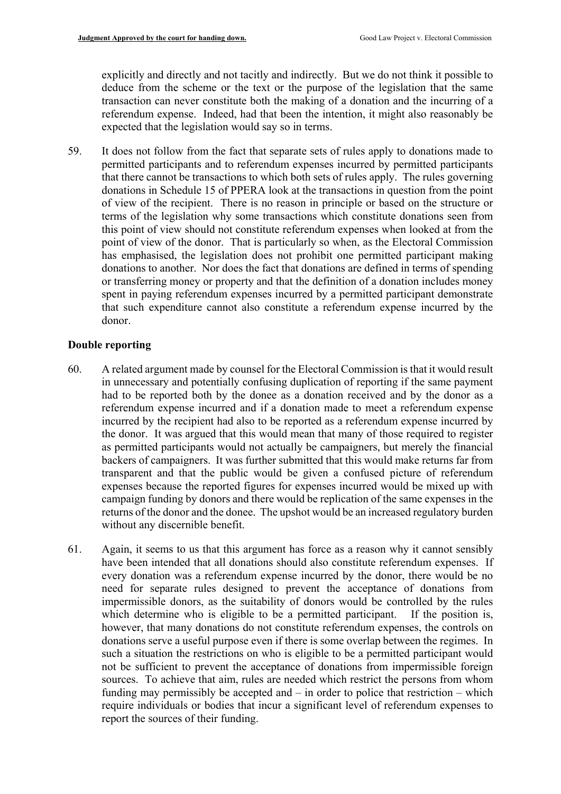deduce from the scheme or the text or the purpose of the legislation that the same referendum expense. Indeed, had that been the intention, it might also reasonably be explicitly and directly and not tacitly and indirectly. But we do not think it possible to transaction can never constitute both the making of a donation and the incurring of a expected that the legislation would say so in terms.

 of view of the recipient. There is no reason in principle or based on the structure or point of view of the donor. That is particularly so when, as the Electoral Commission spent in paying referendum expenses incurred by a permitted participant demonstrate that such expenditure cannot also constitute a referendum expense incurred by the 59. It does not follow from the fact that separate sets of rules apply to donations made to permitted participants and to referendum expenses incurred by permitted participants that there cannot be transactions to which both sets of rules apply. The rules governing donations in Schedule 15 of PPERA look at the transactions in question from the point terms of the legislation why some transactions which constitute donations seen from this point of view should not constitute referendum expenses when looked at from the has emphasised, the legislation does not prohibit one permitted participant making donations to another. Nor does the fact that donations are defined in terms of spending or transferring money or property and that the definition of a donation includes money donor.

# **Double reporting**

- referendum expense incurred and if a donation made to meet a referendum expense as permitted participants would not actually be campaigners, but merely the financial 60. A related argument made by counsel for the Electoral Commission is that it would result in unnecessary and potentially confusing duplication of reporting if the same payment had to be reported both by the donee as a donation received and by the donor as a incurred by the recipient had also to be reported as a referendum expense incurred by the donor. It was argued that this would mean that many of those required to register backers of campaigners. It was further submitted that this would make returns far from transparent and that the public would be given a confused picture of referendum expenses because the reported figures for expenses incurred would be mixed up with campaign funding by donors and there would be replication of the same expenses in the returns of the donor and the donee. The upshot would be an increased regulatory burden without any discernible benefit.
- need for separate rules designed to prevent the acceptance of donations from which determine who is eligible to be a permitted participant. If the position is, not be sufficient to prevent the acceptance of donations from impermissible foreign sources. To achieve that aim, rules are needed which restrict the persons from whom 61. Again, it seems to us that this argument has force as a reason why it cannot sensibly have been intended that all donations should also constitute referendum expenses. If every donation was a referendum expense incurred by the donor, there would be no impermissible donors, as the suitability of donors would be controlled by the rules however, that many donations do not constitute referendum expenses, the controls on donations serve a useful purpose even if there is some overlap between the regimes. In such a situation the restrictions on who is eligible to be a permitted participant would funding may permissibly be accepted and – in order to police that restriction – which require individuals or bodies that incur a significant level of referendum expenses to report the sources of their funding.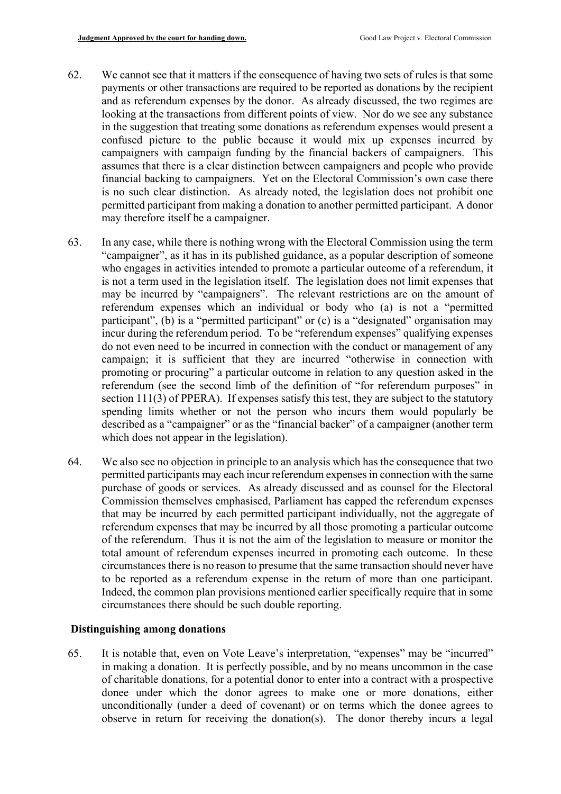- 62. We cannot see that it matters if the consequence of having two sets of rules is that some permitted participant from making a donation to another permitted participant. A donor payments or other transactions are required to be reported as donations by the recipient and as referendum expenses by the donor. As already discussed, the two regimes are looking at the transactions from different points of view. Nor do we see any substance in the suggestion that treating some donations as referendum expenses would present a confused picture to the public because it would mix up expenses incurred by campaigners with campaign funding by the financial backers of campaigners. This assumes that there is a clear distinction between campaigners and people who provide financial backing to campaigners. Yet on the Electoral Commission's own case there is no such clear distinction. As already noted, the legislation does not prohibit one may therefore itself be a campaigner.
- is not a term used in the legislation itself. The legislation does not limit expenses that participant", (b) is a "permitted participant" or (c) is a "designated" organisation may incur during the referendum period. To be "referendum expenses" qualifying expenses 63. In any case, while there is nothing wrong with the Electoral Commission using the term "campaigner", as it has in its published guidance, as a popular description of someone who engages in activities intended to promote a particular outcome of a referendum, it may be incurred by "campaigners". The relevant restrictions are on the amount of referendum expenses which an individual or body who (a) is not a "permitted do not even need to be incurred in connection with the conduct or management of any campaign; it is sufficient that they are incurred "otherwise in connection with promoting or procuring" a particular outcome in relation to any question asked in the referendum (see the second limb of the definition of "for referendum purposes" in section 111(3) of PPERA). If expenses satisfy this test, they are subject to the statutory spending limits whether or not the person who incurs them would popularly be described as a "campaigner" or as the "financial backer" of a campaigner (another term which does not appear in the legislation).
- permitted participants may each incur referendum expenses in connection with the same that may be incurred by each permitted participant individually, not the aggregate of of the referendum. Thus it is not the aim of the legislation to measure or monitor the total amount of referendum expenses incurred in promoting each outcome. In these circumstances there is no reason to presume that the same transaction should never have 64. We also see no objection in principle to an analysis which has the consequence that two purchase of goods or services. As already discussed and as counsel for the Electoral Commission themselves emphasised, Parliament has capped the referendum expenses referendum expenses that may be incurred by all those promoting a particular outcome to be reported as a referendum expense in the return of more than one participant. Indeed, the common plan provisions mentioned earlier specifically require that in some circumstances there should be such double reporting.

# **Distinguishing among donations**

 observe in return for receiving the donation(s). The donor thereby incurs a legal 65. It is notable that, even on Vote Leave's interpretation, "expenses" may be "incurred" in making a donation. It is perfectly possible, and by no means uncommon in the case of charitable donations, for a potential donor to enter into a contract with a prospective donee under which the donor agrees to make one or more donations, either unconditionally (under a deed of covenant) or on terms which the donee agrees to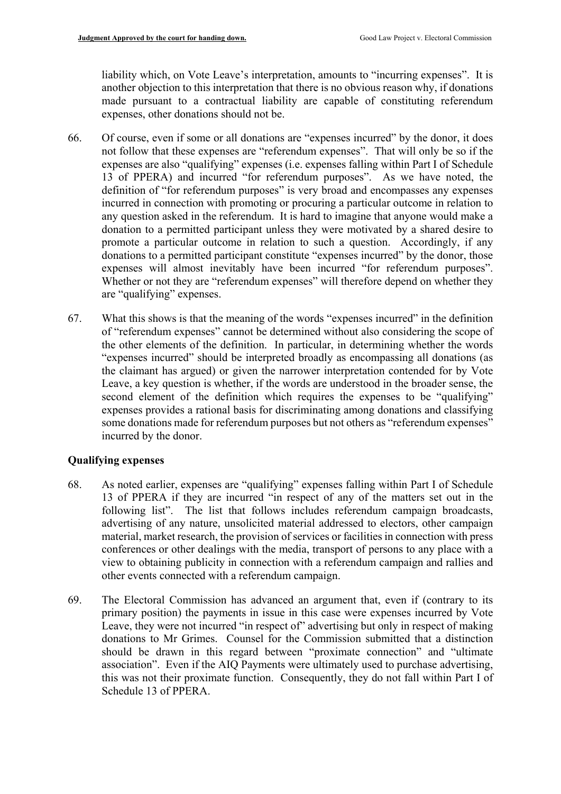made pursuant to a contractual liability are capable of constituting referendum liability which, on Vote Leave's interpretation, amounts to "incurring expenses". It is another objection to this interpretation that there is no obvious reason why, if donations expenses, other donations should not be.

- not follow that these expenses are "referendum expenses". That will only be so if the incurred in connection with promoting or procuring a particular outcome in relation to 66. Of course, even if some or all donations are "expenses incurred" by the donor, it does expenses are also "qualifying" expenses (i.e. expenses falling within Part I of Schedule 13 of PPERA) and incurred "for referendum purposes". As we have noted, the definition of "for referendum purposes" is very broad and encompasses any expenses any question asked in the referendum. It is hard to imagine that anyone would make a donation to a permitted participant unless they were motivated by a shared desire to promote a particular outcome in relation to such a question. Accordingly, if any donations to a permitted participant constitute "expenses incurred" by the donor, those expenses will almost inevitably have been incurred "for referendum purposes". Whether or not they are "referendum expenses" will therefore depend on whether they are "qualifying" expenses.
- of "referendum expenses" cannot be determined without also considering the scope of 67. What this shows is that the meaning of the words "expenses incurred" in the definition the other elements of the definition. In particular, in determining whether the words "expenses incurred" should be interpreted broadly as encompassing all donations (as the claimant has argued) or given the narrower interpretation contended for by Vote Leave, a key question is whether, if the words are understood in the broader sense, the second element of the definition which requires the expenses to be "qualifying" expenses provides a rational basis for discriminating among donations and classifying some donations made for referendum purposes but not others as "referendum expenses" incurred by the donor.

# **Qualifying expenses**

- 68. As noted earlier, expenses are "qualifying" expenses falling within Part I of Schedule conferences or other dealings with the media, transport of persons to any place with a view to obtaining publicity in connection with a referendum campaign and rallies and 13 of PPERA if they are incurred "in respect of any of the matters set out in the following list". The list that follows includes referendum campaign broadcasts, advertising of any nature, unsolicited material addressed to electors, other campaign material, market research, the provision of services or facilities in connection with press other events connected with a referendum campaign.
- 69. The Electoral Commission has advanced an argument that, even if (contrary to its primary position) the payments in issue in this case were expenses incurred by Vote Leave, they were not incurred "in respect of" advertising but only in respect of making donations to Mr Grimes. Counsel for the Commission submitted that a distinction should be drawn in this regard between "proximate connection" and "ultimate association". Even if the AIQ Payments were ultimately used to purchase advertising, this was not their proximate function. Consequently, they do not fall within Part I of Schedule 13 of PPERA.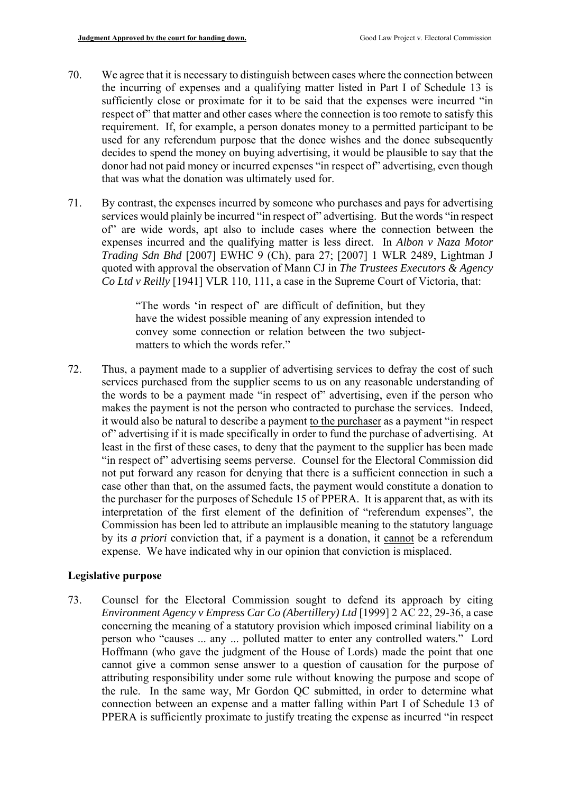- 70. We agree that it is necessary to distinguish between cases where the connection between the incurring of expenses and a qualifying matter listed in Part I of Schedule 13 is sufficiently close or proximate for it to be said that the expenses were incurred "in respect of" that matter and other cases where the connection is too remote to satisfy this requirement. If, for example, a person donates money to a permitted participant to be used for any referendum purpose that the donee wishes and the donee subsequently decides to spend the money on buying advertising, it would be plausible to say that the donor had not paid money or incurred expenses "in respect of" advertising, even though that was what the donation was ultimately used for.
- services would plainly be incurred "in respect of" advertising. But the words "in respect expenses incurred and the qualifying matter is less direct. In *Albon v Naza Motor*  71. By contrast, the expenses incurred by someone who purchases and pays for advertising of" are wide words, apt also to include cases where the connection between the *Trading Sdn Bhd* [2007] EWHC 9 (Ch), para 27; [2007] 1 WLR 2489, Lightman J quoted with approval the observation of Mann CJ in *The Trustees Executors & Agency Co Ltd v Reilly* [1941] VLR 110, 111, a case in the Supreme Court of Victoria, that:

"The words 'in respect of' are difficult of definition, but they have the widest possible meaning of any expression intended to convey some connection or relation between the two subjectmatters to which the words refer."

 makes the payment is not the person who contracted to purchase the services. Indeed, least in the first of these cases, to deny that the payment to the supplier has been made interpretation of the first element of the definition of "referendum expenses", the Commission has been led to attribute an implausible meaning to the statutory language 72. Thus, a payment made to a supplier of advertising services to defray the cost of such services purchased from the supplier seems to us on any reasonable understanding of the words to be a payment made "in respect of" advertising, even if the person who it would also be natural to describe a payment to the purchaser as a payment "in respect of" advertising if it is made specifically in order to fund the purchase of advertising. At "in respect of" advertising seems perverse. Counsel for the Electoral Commission did not put forward any reason for denying that there is a sufficient connection in such a case other than that, on the assumed facts, the payment would constitute a donation to the purchaser for the purposes of Schedule 15 of PPERA. It is apparent that, as with its by its *a priori* conviction that, if a payment is a donation, it cannot be a referendum expense. We have indicated why in our opinion that conviction is misplaced.

#### **Legislative purpose**

 *Environment Agency v Empress Car Co (Abertillery) Ltd* [1999] 2 AC 22, 29-36, a case Hoffmann (who gave the judgment of the House of Lords) made the point that one the rule. In the same way, Mr Gordon QC submitted, in order to determine what 73. Counsel for the Electoral Commission sought to defend its approach by citing concerning the meaning of a statutory provision which imposed criminal liability on a person who "causes ... any ... polluted matter to enter any controlled waters." Lord cannot give a common sense answer to a question of causation for the purpose of attributing responsibility under some rule without knowing the purpose and scope of connection between an expense and a matter falling within Part I of Schedule 13 of PPERA is sufficiently proximate to justify treating the expense as incurred "in respect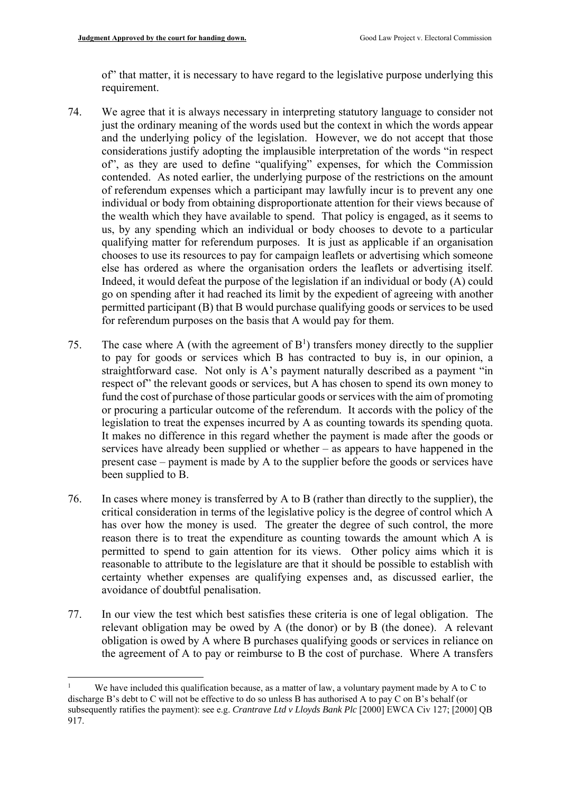of" that matter, it is necessary to have regard to the legislative purpose underlying this requirement.

- us, by any spending which an individual or body chooses to devote to a particular qualifying matter for referendum purposes. It is just as applicable if an organisation permitted participant (B) that B would purchase qualifying goods or services to be used for referendum purposes on the basis that A would pay for them. 74. We agree that it is always necessary in interpreting statutory language to consider not just the ordinary meaning of the words used but the context in which the words appear and the underlying policy of the legislation. However, we do not accept that those considerations justify adopting the implausible interpretation of the words "in respect of", as they are used to define "qualifying" expenses, for which the Commission contended. As noted earlier, the underlying purpose of the restrictions on the amount of referendum expenses which a participant may lawfully incur is to prevent any one individual or body from obtaining disproportionate attention for their views because of the wealth which they have available to spend. That policy is engaged, as it seems to chooses to use its resources to pay for campaign leaflets or advertising which someone else has ordered as where the organisation orders the leaflets or advertising itself. Indeed, it would defeat the purpose of the legislation if an individual or body (A) could go on spending after it had reached its limit by the expedient of agreeing with another
- fund the cost of purchase of those particular goods or services with the aim of promoting or procuring a particular outcome of the referendum. It accords with the policy of the services have already been supplied or whether – as appears to have happened in the for referendum purposes on the basis that A would pay for them.<br>
75. The case where A (with the agreement of  $B<sup>1</sup>$ ) transfers money directly to the supplier to pay for goods or services which B has contracted to buy is, in our opinion, a straightforward case. Not only is A's payment naturally described as a payment "in respect of" the relevant goods or services, but A has chosen to spend its own money to legislation to treat the expenses incurred by A as counting towards its spending quota. It makes no difference in this regard whether the payment is made after the goods or present case – payment is made by A to the supplier before the goods or services have been supplied to B.
- 76. In cases where money is transferred by A to B (rather than directly to the supplier), the critical consideration in terms of the legislative policy is the degree of control which A reason there is to treat the expenditure as counting towards the amount which A is permitted to spend to gain attention for its views. Other policy aims which it is has over how the money is used. The greater the degree of such control, the more reasonable to attribute to the legislature are that it should be possible to establish with certainty whether expenses are qualifying expenses and, as discussed earlier, the avoidance of doubtful penalisation.
- relevant obligation may be owed by A (the donor) or by B (the donee). A relevant 77. In our view the test which best satisfies these criteria is one of legal obligation. The obligation is owed by A where B purchases qualifying goods or services in reliance on the agreement of A to pay or reimburse to B the cost of purchase. Where A transfers

1

 discharge B's debt to C will not be effective to do so unless B has authorised A to pay C on B's behalf (or subsequently ratifies the payment): see e.g. *Crantrave Ltd v Lloyds Bank Plc* [2000] EWCA Civ 127; [2000] QB 917. We have included this qualification because, as a matter of law, a voluntary payment made by A to C to <sup>1</sup><br>subse<br>917.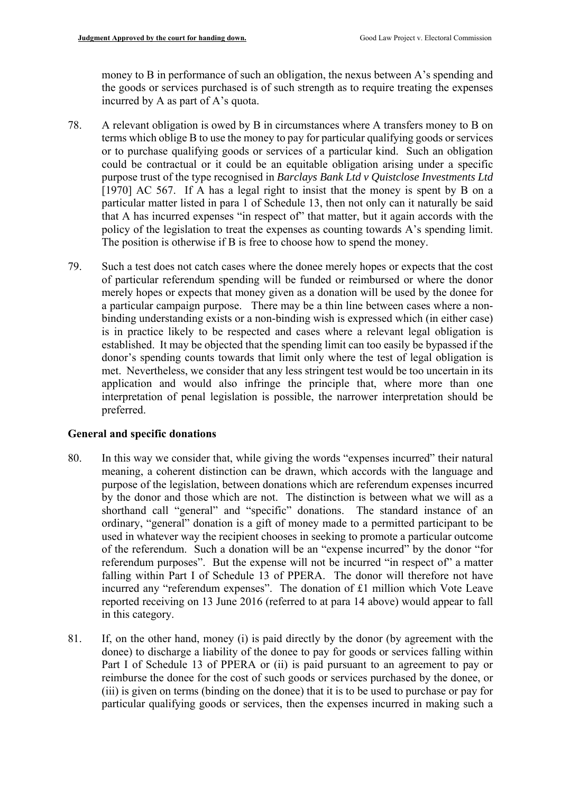money to B in performance of such an obligation, the nexus between A's spending and the goods or services purchased is of such strength as to require treating the expenses incurred by A as part of A's quota.

- policy of the legislation to treat the expenses as counting towards A's spending limit. 78. A relevant obligation is owed by B in circumstances where A transfers money to B on terms which oblige B to use the money to pay for particular qualifying goods or services or to purchase qualifying goods or services of a particular kind. Such an obligation could be contractual or it could be an equitable obligation arising under a specific purpose trust of the type recognised in *Barclays Bank Ltd v Quistclose Investments Ltd*  [1970] AC 567. If A has a legal right to insist that the money is spent by B on a particular matter listed in para 1 of Schedule 13, then not only can it naturally be said that A has incurred expenses "in respect of" that matter, but it again accords with the The position is otherwise if B is free to choose how to spend the money.
- 79. Such a test does not catch cases where the donee merely hopes or expects that the cost a particular campaign purpose. There may be a thin line between cases where a non- interpretation of penal legislation is possible, the narrower interpretation should be of particular referendum spending will be funded or reimbursed or where the donor merely hopes or expects that money given as a donation will be used by the donee for binding understanding exists or a non-binding wish is expressed which (in either case) is in practice likely to be respected and cases where a relevant legal obligation is established. It may be objected that the spending limit can too easily be bypassed if the donor's spending counts towards that limit only where the test of legal obligation is met. Nevertheless, we consider that any less stringent test would be too uncertain in its application and would also infringe the principle that, where more than one preferred.

#### **General and specific donations**

- of the referendum. Such a donation will be an "expense incurred" by the donor "for referendum purposes". But the expense will not be incurred "in respect of" a matter incurred any "referendum expenses". The donation of £1 million which Vote Leave 80. In this way we consider that, while giving the words "expenses incurred" their natural meaning, a coherent distinction can be drawn, which accords with the language and purpose of the legislation, between donations which are referendum expenses incurred by the donor and those which are not. The distinction is between what we will as a shorthand call "general" and "specific" donations. The standard instance of an ordinary, "general" donation is a gift of money made to a permitted participant to be used in whatever way the recipient chooses in seeking to promote a particular outcome falling within Part I of Schedule 13 of PPERA. The donor will therefore not have reported receiving on 13 June 2016 (referred to at para 14 above) would appear to fall in this category.
- particular qualifying goods or services, then the expenses incurred in making such a 81. If, on the other hand, money (i) is paid directly by the donor (by agreement with the donee) to discharge a liability of the donee to pay for goods or services falling within Part I of Schedule 13 of PPERA or (ii) is paid pursuant to an agreement to pay or reimburse the donee for the cost of such goods or services purchased by the donee, or (iii) is given on terms (binding on the donee) that it is to be used to purchase or pay for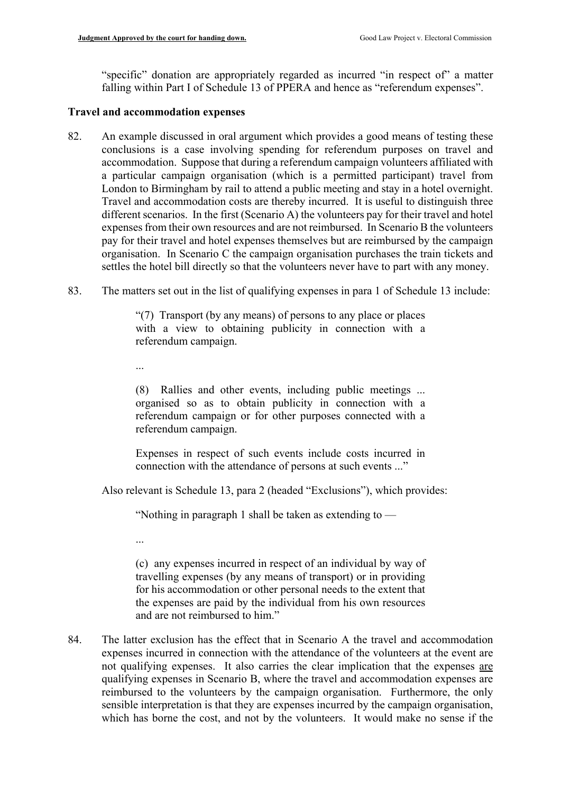"specific" donation are appropriately regarded as incurred "in respect of" a matter falling within Part I of Schedule 13 of PPERA and hence as "referendum expenses".

#### **Travel and accommodation expenses**

- a particular campaign organisation (which is a permitted participant) travel from Travel and accommodation costs are thereby incurred. It is useful to distinguish three 82. An example discussed in oral argument which provides a good means of testing these conclusions is a case involving spending for referendum purposes on travel and accommodation. Suppose that during a referendum campaign volunteers affiliated with London to Birmingham by rail to attend a public meeting and stay in a hotel overnight. different scenarios. In the first (Scenario A) the volunteers pay for their travel and hotel expenses from their own resources and are not reimbursed. In Scenario B the volunteers pay for their travel and hotel expenses themselves but are reimbursed by the campaign organisation. In Scenario C the campaign organisation purchases the train tickets and settles the hotel bill directly so that the volunteers never have to part with any money.
- 83. The matters set out in the list of qualifying expenses in para 1 of Schedule 13 include:

 with a view to obtaining publicity in connection with a "(7) Transport (by any means) of persons to any place or places referendum campaign.

...

 organised so as to obtain publicity in connection with a (8) Rallies and other events, including public meetings ... referendum campaign or for other purposes connected with a referendum campaign.

Expenses in respect of such events include costs incurred in connection with the attendance of persons at such events ..."

Also relevant is Schedule 13, para 2 (headed "Exclusions"), which provides:

"Nothing in paragraph 1 shall be taken as extending to —

...

(c) any expenses incurred in respect of an individual by way of travelling expenses (by any means of transport) or in providing for his accommodation or other personal needs to the extent that the expenses are paid by the individual from his own resources and are not reimbursed to him."

84. The latter exclusion has the effect that in Scenario A the travel and accommodation expenses incurred in connection with the attendance of the volunteers at the event are not qualifying expenses. It also carries the clear implication that the expenses are qualifying expenses in Scenario B, where the travel and accommodation expenses are reimbursed to the volunteers by the campaign organisation. Furthermore, the only sensible interpretation is that they are expenses incurred by the campaign organisation, which has borne the cost, and not by the volunteers. It would make no sense if the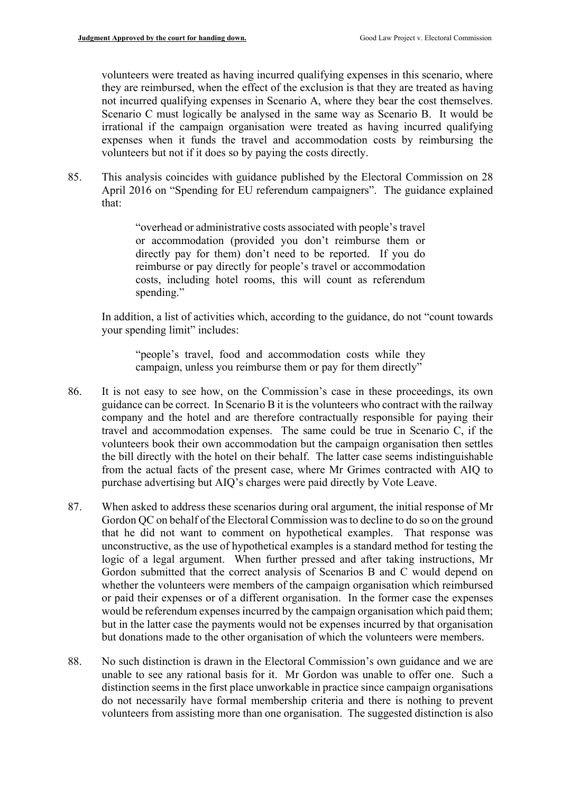not incurred qualifying expenses in Scenario A, where they bear the cost themselves. volunteers were treated as having incurred qualifying expenses in this scenario, where they are reimbursed, when the effect of the exclusion is that they are treated as having Scenario C must logically be analysed in the same way as Scenario B. It would be irrational if the campaign organisation were treated as having incurred qualifying expenses when it funds the travel and accommodation costs by reimbursing the volunteers but not if it does so by paying the costs directly.

85. This analysis coincides with guidance published by the Electoral Commission on 28 April 2016 on "Spending for EU referendum campaigners". The guidance explained that:

> or accommodation (provided you don't reimburse them or "overhead or administrative costs associated with people's travel directly pay for them) don't need to be reported. If you do reimburse or pay directly for people's travel or accommodation costs, including hotel rooms, this will count as referendum spending."

In addition, a list of activities which, according to the guidance, do not "count towards your spending limit" includes:

"people's travel, food and accommodation costs while they campaign, unless you reimburse them or pay for them directly"

- the bill directly with the hotel on their behalf. The latter case seems indistinguishable 86. It is not easy to see how, on the Commission's case in these proceedings, its own guidance can be correct. In Scenario B it is the volunteers who contract with the railway company and the hotel and are therefore contractually responsible for paying their travel and accommodation expenses. The same could be true in Scenario C, if the volunteers book their own accommodation but the campaign organisation then settles from the actual facts of the present case, where Mr Grimes contracted with AIQ to purchase advertising but AIQ's charges were paid directly by Vote Leave.
- 87. When asked to address these scenarios during oral argument, the initial response of Mr Gordon QC on behalf of the Electoral Commission was to decline to do so on the ground that he did not want to comment on hypothetical examples. That response was unconstructive, as the use of hypothetical examples is a standard method for testing the logic of a legal argument. When further pressed and after taking instructions, Mr Gordon submitted that the correct analysis of Scenarios B and C would depend on whether the volunteers were members of the campaign organisation which reimbursed or paid their expenses or of a different organisation. In the former case the expenses would be referendum expenses incurred by the campaign organisation which paid them; but in the latter case the payments would not be expenses incurred by that organisation but donations made to the other organisation of which the volunteers were members.
- 88. No such distinction is drawn in the Electoral Commission's own guidance and we are unable to see any rational basis for it. Mr Gordon was unable to offer one. Such a distinction seems in the first place unworkable in practice since campaign organisations do not necessarily have formal membership criteria and there is nothing to prevent volunteers from assisting more than one organisation. The suggested distinction is also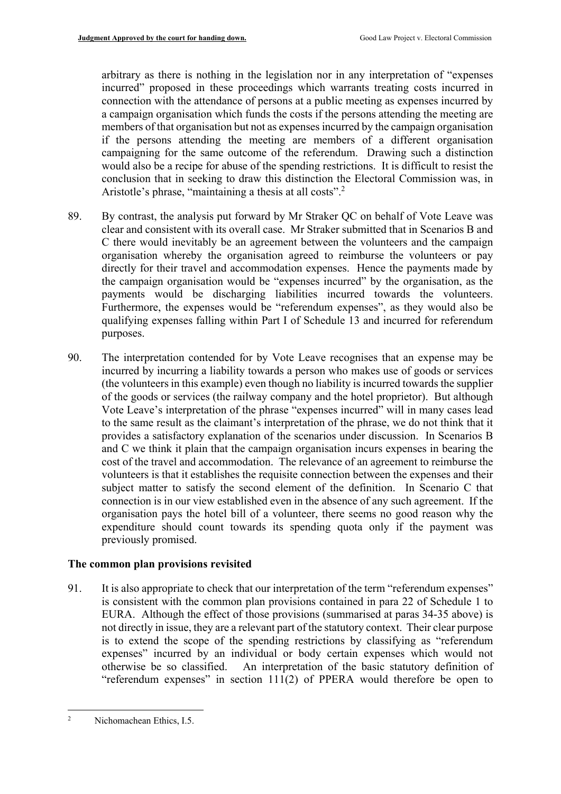campaigning for the same outcome of the referendum. Drawing such a distinction Aristotle's phrase, "maintaining a thesis at all costs".<sup>2</sup> arbitrary as there is nothing in the legislation nor in any interpretation of "expenses incurred" proposed in these proceedings which warrants treating costs incurred in connection with the attendance of persons at a public meeting as expenses incurred by a campaign organisation which funds the costs if the persons attending the meeting are members of that organisation but not as expenses incurred by the campaign organisation if the persons attending the meeting are members of a different organisation would also be a recipe for abuse of the spending restrictions. It is difficult to resist the conclusion that in seeking to draw this distinction the Electoral Commission was, in

- clear and consistent with its overall case. Mr Straker submitted that in Scenarios B and the campaign organisation would be "expenses incurred" by the organisation, as the payments would be discharging liabilities incurred towards the volunteers. 89. By contrast, the analysis put forward by Mr Straker QC on behalf of Vote Leave was C there would inevitably be an agreement between the volunteers and the campaign organisation whereby the organisation agreed to reimburse the volunteers or pay directly for their travel and accommodation expenses. Hence the payments made by Furthermore, the expenses would be "referendum expenses", as they would also be qualifying expenses falling within Part I of Schedule 13 and incurred for referendum purposes.
- incurred by incurring a liability towards a person who makes use of goods or services subject matter to satisfy the second element of the definition. In Scenario C that 90. The interpretation contended for by Vote Leave recognises that an expense may be (the volunteers in this example) even though no liability is incurred towards the supplier of the goods or services (the railway company and the hotel proprietor). But although Vote Leave's interpretation of the phrase "expenses incurred" will in many cases lead to the same result as the claimant's interpretation of the phrase, we do not think that it provides a satisfactory explanation of the scenarios under discussion. In Scenarios B and C we think it plain that the campaign organisation incurs expenses in bearing the cost of the travel and accommodation. The relevance of an agreement to reimburse the volunteers is that it establishes the requisite connection between the expenses and their connection is in our view established even in the absence of any such agreement. If the organisation pays the hotel bill of a volunteer, there seems no good reason why the expenditure should count towards its spending quota only if the payment was previously promised.

#### **The common plan provisions revisited**

91. It is also appropriate to check that our interpretation of the term "referendum expenses" not directly in issue, they are a relevant part of the statutory context. Their clear purpose otherwise be so classified. An interpretation of the basic statutory definition of is consistent with the common plan provisions contained in para 22 of Schedule 1 to EURA. Although the effect of those provisions (summarised at paras 34-35 above) is is to extend the scope of the spending restrictions by classifying as "referendum expenses" incurred by an individual or body certain expenses which would not "referendum expenses" in section 111(2) of PPERA would therefore be open to

<sup>1</sup> Nichomachean Ethics, I.5. 2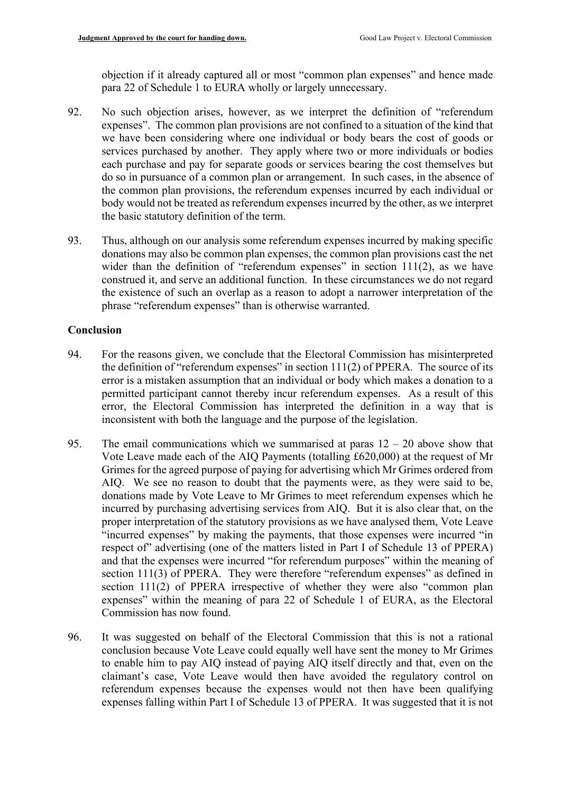objection if it already captured all or most "common plan expenses" and hence made para 22 of Schedule 1 to EURA wholly or largely unnecessary.

- 92. No such objection arises, however, as we interpret the definition of "referendum expenses". The common plan provisions are not confined to a situation of the kind that we have been considering where one individual or body bears the cost of goods or services purchased by another. They apply where two or more individuals or bodies each purchase and pay for separate goods or services bearing the cost themselves but do so in pursuance of a common plan or arrangement. In such cases, in the absence of the common plan provisions, the referendum expenses incurred by each individual or body would not be treated as referendum expenses incurred by the other, as we interpret the basic statutory definition of the term.
- 93. Thus, although on our analysis some referendum expenses incurred by making specific construed it, and serve an additional function. In these circumstances we do not regard the existence of such an overlap as a reason to adopt a narrower interpretation of the donations may also be common plan expenses, the common plan provisions cast the net wider than the definition of "referendum expenses" in section 111(2), as we have phrase "referendum expenses" than is otherwise warranted.

# **Conclusion**

- the definition of "referendum expenses" in section  $111(2)$  of PPERA. The source of its error is a mistaken assumption that an individual or body which makes a donation to a permitted participant cannot thereby incur referendum expenses. As a result of this error, the Electoral Commission has interpreted the definition in a way that is 94. For the reasons given, we conclude that the Electoral Commission has misinterpreted inconsistent with both the language and the purpose of the legislation.
- AIQ. We see no reason to doubt that the payments were, as they were said to be, incurred by purchasing advertising services from AIQ. But it is also clear that, on the "incurred expenses" by making the payments, that those expenses were incurred "in respect of" advertising (one of the matters listed in Part I of Schedule 13 of PPERA) 95. The email communications which we summarised at paras  $12 - 20$  above show that Vote Leave made each of the AIQ Payments (totalling £620,000) at the request of Mr Grimes for the agreed purpose of paying for advertising which Mr Grimes ordered from donations made by Vote Leave to Mr Grimes to meet referendum expenses which he proper interpretation of the statutory provisions as we have analysed them, Vote Leave and that the expenses were incurred "for referendum purposes" within the meaning of section 111(3) of PPERA. They were therefore "referendum expenses" as defined in section 111(2) of PPERA irrespective of whether they were also "common plan expenses" within the meaning of para 22 of Schedule 1 of EURA, as the Electoral Commission has now found.
- 96. It was suggested on behalf of the Electoral Commission that this is not a rational conclusion because Vote Leave could equally well have sent the money to Mr Grimes to enable him to pay AIQ instead of paying AIQ itself directly and that, even on the claimant's case, Vote Leave would then have avoided the regulatory control on referendum expenses because the expenses would not then have been qualifying expenses falling within Part I of Schedule 13 of PPERA. It was suggested that it is not